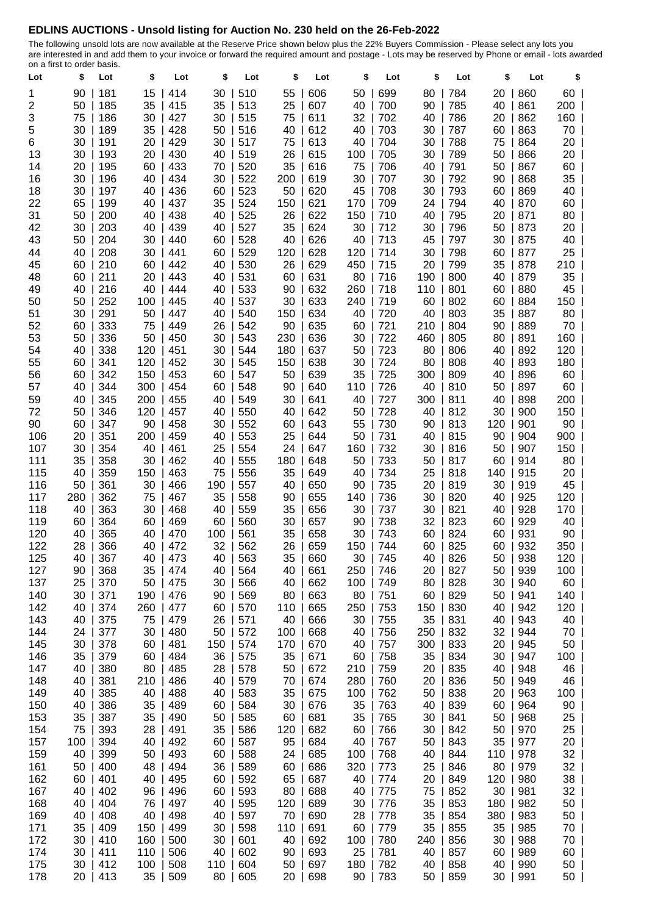## **EDLINS AUCTIONS - Unsold listing for Auction No. 230 held on the 26-Feb-2022**

The following unsold lots are now available at the Reserve Price shown below plus the 22% Buyers Commission - Please select any lots you are interested in and add them to your invoice or forward the required amount and postage - Lots may be reserved by Phone or email - lots awarded on a first to order basis.

| Lot | \$   | Lot      | \$  | Lot | \$        | Lot      | \$  | Lot | \$  | Lot | \$  | Lot        | \$  | Lot | \$              |
|-----|------|----------|-----|-----|-----------|----------|-----|-----|-----|-----|-----|------------|-----|-----|-----------------|
| 1   | 90   | 181      | 15  | 414 | 30        | 510      | 55  | 606 | 50  | 699 | 80  | 784        | 20  | 860 | 60              |
| 2   | 50   | 185      | 35  | 415 | 35        | 513      | 25  | 607 | 40  | 700 | 90  | 785        | 40  | 861 | $200$           |
| 3   | 75   | 186      | 30  | 427 | 30        | 515      | 75  | 611 | 32  | 702 | 40  | 786        | 20  | 862 | 160             |
| 5   | 30   | 189      | 35  | 428 | 50        | 516      | 40  | 612 | 40  | 703 | 30  | 787        | 60  | 863 | 70              |
| 6   | 30   | 191      | 20  | 429 | 30        | 517      | 75  | 613 | 40  | 704 | 30  | 788        | 75  | 864 | 20 I            |
| 13  | 30   | 193      | 20  | 430 | 40        | 519      | 26  | 615 | 100 | 705 | 30  | 789        | 50  | 866 | 20              |
| 14  | 20   | 195      | 60  | 433 | 70        | 520      | 35  | 616 | 75  | 706 | 40  | 791        | 50  | 867 | 60              |
| 16  | 30   | 196      | 40  | 434 | 30        | 522      | 200 | 619 | 30  | 707 | 30  | 792        | 90  | 868 | 35              |
| 18  | 30   | 197      | 40  | 436 | 60        | 523      | 50  | 620 | 45  | 708 | 30  | 793        | 60  | 869 | 40              |
| 22  | 65   | 199      | 40  | 437 | 35        | 524      | 150 | 621 | 170 | 709 | 24  | 794        | 40  | 870 | 60              |
| 31  | 50   | 200      | 40  | 438 | 40        | 525      | 26  | 622 | 150 | 710 | 40  | 795        | 20  | 871 | $80$            |
| 42  | 30   | 203      | 40  | 439 | 40        | 527      | 35  | 624 | 30  | 712 | 30  | 796        | 50  | 873 | $20$            |
| 43  | 50   | 204      | 30  | 440 | 60        | 528      | 40  | 626 | 40  | 713 | 45  | 797        | 30  | 875 | 40              |
| 44  | 40   | 208      | 30  | 441 | 60        | 529      | 120 | 628 | 120 | 714 | 30  | 798        | 60  | 877 | 25              |
| 45  | 60   | 210      | 60  | 442 | 40        | 530      | 26  | 629 | 450 | 715 | 20  | 799        | 35  | 878 | 210             |
| 48  | 60   | 211      | 20  | 443 | 40        | 531      | 60  | 631 | 80  | 716 | 190 | 800        | 40  | 879 | 35              |
| 49  | 40   | 216      | 40  | 444 | 40        | 533      | 90  | 632 | 260 | 718 | 110 | 801        | 60  | 880 | 45              |
| 50  | 50   | 252      | 100 | 445 | 40        | 537      | 30  | 633 | 240 | 719 | 60  | 802        | 60  | 884 | 150             |
| 51  | 30   | 291      | 50  | 447 | 40        | 540      | 150 | 634 | 40  | 720 | 40  | 803        | 35  | 887 | 80              |
| 52  | 60   | 333      | 75  | 449 | 26        | 542      | 90  | 635 | 60  | 721 | 210 | 804        | 90  | 889 | 70              |
| 53  | 50   | 336      | 50  | 450 | 30        | 543      | 230 | 636 | 30  | 722 | 460 | 805        | 80  | 891 | 160             |
| 54  | 40   | 338      | 120 | 451 | 30        | 544      | 180 | 637 | 50  | 723 | 80  | 806        | 40  | 892 | 120             |
| 55  | 60   | 341      | 120 | 452 | 30        | 545      | 150 | 638 | 30  | 724 | 80  | 808        | 40  | 893 | 180             |
| 56  | 60   | 342      | 150 | 453 | 60        | 547      | 50  | 639 | 35  | 725 | 300 | 809        | 40  | 896 | 60              |
| 57  | 40   | 344      | 300 | 454 | 60        | 548      | 90  | 640 | 110 | 726 | 40  | 810        | 50  | 897 | 60              |
| 59  | 40   | 345      | 200 | 455 | 40        | 549      | 30  | 641 | 40  | 727 | 300 | 811        | 40  | 898 | 200             |
| 72  | 50   | 346      | 120 | 457 | 40        | 550      | 40  | 642 | 50  | 728 | 40  | 812        | 30  | 900 | 150             |
| 90  | 60   | 347      | 90  | 458 | 30        | 552      | 60  | 643 | 55  | 730 | 90  | 813        | 120 | 901 | 90              |
| 106 | 20   | 351      | 200 | 459 | 40        | 553      | 25  | 644 | 50  | 731 | 40  | 815        | 90  | 904 | $900$           |
| 107 | 30   | 354      | 40  | 461 | 25        | 554      | 24  | 647 | 160 | 732 | 30  | 816        | 50  | 907 | 150             |
| 111 | 35   | 358      | 30  | 462 | 40        | 555      | 180 | 648 | 50  | 733 | 50  | 817        | 60  | 914 | 80              |
| 115 | 40   | 359      | 150 | 463 | 75        | 556      | 35  | 649 | 40  | 734 | 25  | 818        | 140 | 915 | 20              |
| 116 | 50   | 361      | 30  | 466 | 190       | 557      | 40  | 650 | 90  | 735 | 20  | 819        | 30  | 919 | 45              |
| 117 | 280  | 362      | 75  | 467 | 35        | 558      | 90  | 655 | 140 | 736 | 30  | 820        | 40  | 925 | 120             |
| 118 | 40   | 363      | 30  | 468 | 40        | 559      | 35  | 656 | 30  | 737 | 30  | 821        | 40  | 928 | 170             |
| 119 | 60   | 364      | 60  | 469 | 60        | 560      | 30  | 657 | 90  | 738 | 32  | 823        | 60  | 929 | 40              |
| 120 | 40   | 365      | 40  | 470 | 100       | 561      | 35  | 658 | 30  | 743 | 60  | 824        | 60  | 931 | 90 <sub>1</sub> |
| 122 | 28   | 366      | 40  | 472 | 32        | 562      | 26  | 659 | 150 | 744 | 60  | 825        | 60  | 932 | 350             |
| 125 | 40   | 367      | 40  | 473 | 40        | 563      | 35  | 660 | 30  | 745 | 40  | 826        | 50  | 938 | $120$           |
| 127 | 90   | 368      | 35  | 474 | 40        | 564      | 40  | 661 | 250 | 746 | 20  | 827        | 50  | 939 | $100$           |
| 137 | 25   | 370      | 50  | 475 | 30        | 566      | 40  | 662 | 100 | 749 | 80  | 828        | 30  | 940 | $60$            |
| 140 | 30   | 371      | 190 | 476 | 90        | 569      | 80  | 663 | 80  | 751 | 60  | 829        | 50  | 941 | $140$           |
| 142 | 40   | 374      | 260 | 477 | 60        | 570      | 110 | 665 | 250 | 753 | 150 | 830        | 40  | 942 | $120$           |
| 143 | 40   | 375      | 75  | 479 | 26        | 571      | 40  | 666 | 30  | 755 | 35  | 831        | 40  | 943 | 40              |
| 144 | 24   | 377      | 30  | 480 | 50        | 572      | 100 | 668 | 40  | 756 | 250 | 832        | 32  | 944 | 70              |
| 145 | 30   | 378      | 60  | 481 | 150       | 574      | 170 | 670 | 40  | 757 | 300 | 833        | 20  | 945 | 50              |
| 146 | 35   | 379      | 60  | 484 | 36        | 575      | 35  | 671 | 60  | 758 |     | 35   834   | 30  | 947 | $100$           |
| 147 | 40   | 380      | 80  | 485 | 28        | 578      | 50  | 672 | 210 | 759 | 20  | 835        | 40  | 948 | 46              |
| 148 | 40   | 381      | 210 | 486 | 40        | 579      | 70  | 674 | 280 | 760 | 20  | 836        | 50  | 949 | 46              |
| 149 | 40   | 385      | 40  | 488 | 40        | 583      | 35  | 675 | 100 | 762 | 50  | 838        | 20  | 963 | $100$           |
| 150 | 40   | 386      | 35  | 489 | 60        | 584      | 30  | 676 | 35  | 763 | 40  | 839        | 60  | 964 | 90              |
| 153 | 35   | 387      | 35  | 490 | 50        | 585      | 60  | 681 | 35  | 765 | 30  | 841        | 50  | 968 | 25              |
| 154 | 75   | 393      | 28  | 491 | 35        | 586      | 120 | 682 | 60  | 766 | 30  | 842        | 50  | 970 | 25              |
| 157 | 100  | 394      | 40  | 492 | 60        | 587      | 95  | 684 | 40  | 767 | 50  | 843        | 35  | 977 | 20 <sub>1</sub> |
| 159 | 40   | 399      | 50  | 493 | 60        | 588      | 24  | 685 | 100 | 768 | 40  | $\mid 844$ | 110 | 978 | 32              |
| 161 | 50   | 400      | 48  | 494 | 36        | 589      | 60  | 686 | 320 | 773 | 25  | 846        | 80  | 979 | 32              |
| 162 | $60$ | 401      | 40  | 495 | 60        | 592      | 65  | 687 | 40  | 774 | 20  | 849        | 120 | 980 | 38              |
| 167 | 40   | 402      | 96  | 496 | 60        | 593      | 80  | 688 | 40  | 775 | 75  | 852        | 30  | 981 | $32$            |
| 168 | 40   | 404      | 76  | 497 | 40        | 595      | 120 | 689 | 30  | 776 | 35  | 853        | 180 | 982 | 50              |
| 169 | 40   | 408      | 40  | 498 | 40        | 597      | 70  | 690 | 28  | 778 | 35  | 854        | 380 | 983 | 50              |
| 171 | 35   | 409      | 150 | 499 | 30        | 598      | 110 | 691 | 60  | 779 | 35  | 855        | 35  | 985 | 70              |
| 172 | 30   | 410      | 160 | 500 | 30        | 601      | 40  | 692 | 100 | 780 | 240 | 856        | 30  | 988 | 70              |
| 174 |      | 30   411 | 110 | 506 | 40        | 602      | 90  | 693 | 25  | 781 | 40  | 857        | 60  | 989 | $60$            |
| 175 |      | 30   412 | 100 | 508 | 110   604 |          | 50  | 697 | 180 | 782 | 40  | 858        | 40  | 990 | $50 \mid$       |
| 178 |      | 20   413 | 35  | 509 |           | 80   605 | 20  | 698 | 90  | 783 | 50  | 859        | 30  | 991 | 50 <sub>1</sub> |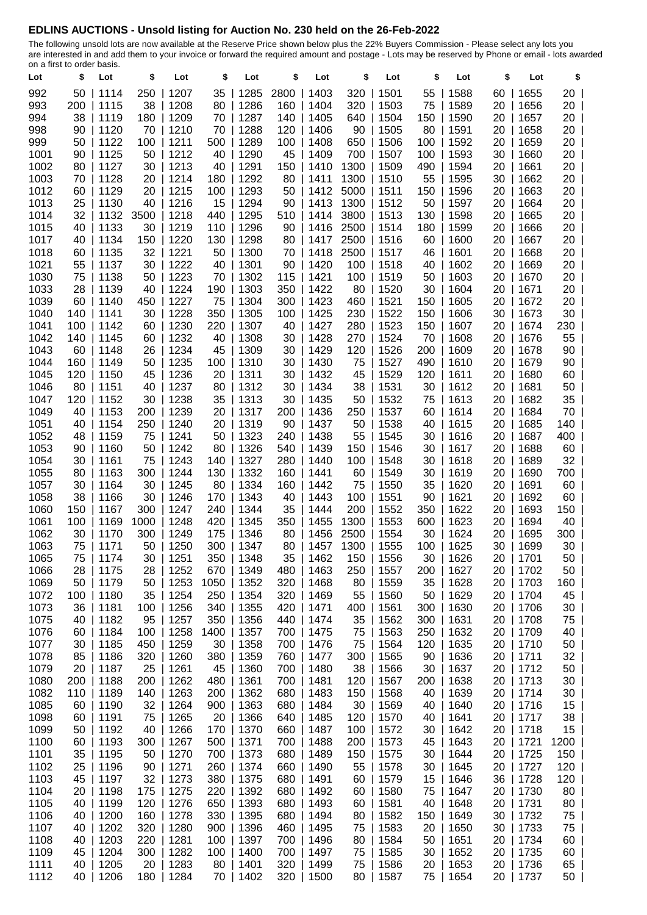## **EDLINS AUCTIONS - Unsold listing for Auction No. 230 held on the 26-Feb-2022**

The following unsold lots are now available at the Reserve Price shown below plus the 22% Buyers Commission - Please select any lots you are interested in and add them to your invoice or forward the required amount and postage - Lots may be reserved by Phone or email - lots awarded on a first to order basis.

| Lot          | 11310000<br>\$ | Lot                     | \$        | Lot                     | \$          | Lot                      | \$         | Lot                 | \$          | Lot                     | \$       | Lot                | \$       | Lot                    | \$          |  |
|--------------|----------------|-------------------------|-----------|-------------------------|-------------|--------------------------|------------|---------------------|-------------|-------------------------|----------|--------------------|----------|------------------------|-------------|--|
| 992          |                | $50$   1114             | 250       | 1207                    | 35          | 1285                     | 2800       | 1403                | 320         | 1501                    | 55       | 1588               | 60       | 1655                   | 20          |  |
| 993          |                | 200   1115              | 38        | 1208                    | 80          | 1286                     | 160        | 1404                |             | 320   1503              | 75       | 1589               | 20       | 1656                   | 20          |  |
| 994          | 38             | 1119                    | 180       | 1209                    | 70          | 1287                     | 140        | 1405                | 640         | 1504                    | 150      | 1590               | 20       | 1657                   | 20          |  |
| 998          | 90             | 1120                    | 70        | 1210                    | 70          | 1288                     | 120        | 1406                | 90          | 1505                    | 80       | 1591               | 20       | 1658                   | 20          |  |
| 999          | 50             | 1122                    | 100       | 1211                    | 500         | 1289                     | 100        | 1408                | 650         | 1506                    | 100      | 1592               | 20       | 1659                   | 20          |  |
| 1001         |                | 90   1125               | 50        | 1212                    | 40          | 1290                     | 45         | 1409                |             | 700   1507              | 100      | 1593               | 30       | 1660                   | 20          |  |
| 1002         |                | 80   1127               | 30        | 1213                    | 40          | 1291                     | 150        | 1410                | 1300   1509 |                         | 490      | 1594               | 20       | 1661                   | 20          |  |
| 1003         |                | 70   1128               | 20        | 1214                    |             | 180   1292               | 80         | 1411                | 1300   1510 |                         | 55       | 1595               | 30       | 1662                   | 20          |  |
| 1012         |                | 60   1129               | 20        | 1215                    | 100         | 1293                     | 50         | 1412                | 5000   1511 |                         | 150      | 1596               | 20       | 1663                   | 20          |  |
| 1013         |                | 25   1130               | 40        | 1216                    | 15          | 1294                     | 90         | 1413                | 1300   1512 |                         | 50       | 1597               | 20       | 1664                   | 20          |  |
| 1014         |                | 32   1132               | 3500      | 1218                    | 440         | 1295                     | 510        | 1414                | 3800   1513 |                         | 130      | 1598               | 20       | 1665                   | 20          |  |
| 1015         |                | 40   1133               | 30        | 1219                    | 110         | 1296                     | 90         | 1416                | 2500   1514 |                         | 180      | 1599               | 20       | 1666                   | 20          |  |
| 1017         |                | 40   1134               | 150       | 1220                    | 130         | 1298                     | 80         | 1417                | 2500        | 1516                    | 60       | 1600               | 20       | 1667                   | 20          |  |
| 1018<br>1021 |                | 60   1135<br>55   1137  | 32<br>30  | 1221<br>1222            | 50<br>40    | 1300<br> 1301            | 70<br>90   | 1418<br>1420        | 2500   1517 | 100   1518              | 46<br>40 | 1601<br>1602       | 20<br>20 | 1668<br>1669           | 20<br>20    |  |
| 1030         |                | 75   1138               | 50        | 1223                    | 70          | 1302                     | 115        | 1421                |             | 100   1519              | 50       | 1603               | 20       | 1670                   | 20          |  |
| 1033         |                | 28   1139               | 40        | 1224                    | 190         | 1303                     | 350        | 1422                |             | 80   1520               | 30       | 1604               | 20       | 1671                   | 20          |  |
| 1039         |                | $60$   1140             | 450       | 1227                    | 75          | 1304                     | 300        | 1423                |             | 460   1521              | 150      | 1605               | 20       | 1672                   | 20          |  |
| 1040         |                | 140   1141              | 30        | 1228                    | 350         | 1305                     | 100        | 1425                |             | 230   1522              | 150      | 1606               | 30       | 1673                   | 30          |  |
| 1041         |                | 100   1142              | 60        | 1230                    | 220         | 1307                     | 40         | 1427                |             | 280   1523              | 150      | 1607               | 20       | 1674                   | 230         |  |
| 1042         |                | 140   1145              | 60        | 1232                    | 40          | 1308                     | 30         | 1428                | 270         | 1524                    | 70       | 1608               | 20       | 1676                   | 55          |  |
| 1043         |                | $60$   1148             | 26        | 1234                    | 45          | 1309                     | 30         | 1429                |             | 120   1526              | 200      | 1609               | 20       | 1678                   | 90          |  |
| 1044         |                | 160   1149              | 50        | 1235                    |             | 100   1310               | 30         | 1430                |             | 75   1527               | 490      | 1610               |          | 20   1679              | 90          |  |
| 1045         |                | 120   1150              | 45        | 1236                    |             | 20   1311                | 30         | 1432                | 45          | 1529                    | 120      | 1611               | 20       | 1680                   | 60          |  |
| 1046         |                | $80$   1151             | 40        | 1237                    |             | 80   1312                | 30         | 1434                |             | 38   1531               | 30       | 1612               |          | $20$   1681            | 50          |  |
| 1047         |                | 120   1152              | 30        | 1238                    |             | 35   1313                | 30         | 1435                |             | $50$   1532             | 75       | 1613               | 20       | 1682                   | 35          |  |
| 1049         |                | 40   1153               | 200       | 1239                    |             | 20   1317                | 200        | 1436                |             | 250   1537              | 60       | 1614               | 20       | 1684                   | 70          |  |
| 1051<br>1052 |                | 40   1154<br>48   1159  | 250<br>75 | 1240<br> 1241           |             | 20   1319<br>50   1323   | 90<br>240  | 1437<br>1438        |             | 50   1538<br>55   1545  | 40<br>30 | 1615<br> 1616      | 20<br>20 | 1685<br> 1687          | 140<br>400  |  |
| 1053         |                | $90$   1160             | 50        | 1242                    |             | 80   1326                | 540        | 1439                |             | 150   1546              | 30       | 1617               | 20       | 1688                   | 60          |  |
| 1054         |                | $30$   1161             | 75        | 1243                    |             | 140   1327               | 280        | 1440                |             | 100   1548              | 30       | 1618               |          | 20   1689              | 32          |  |
| 1055         |                | $80$   1163             | 300       | 1244                    |             | 130   1332               | 160        | 1441                |             | $60$   1549             | 30       | 1619               |          | 20   1690              | 700         |  |
| 1057         |                | $30$   1164             | 30        | 1245                    |             | 80   1334                | 160        | 1442                |             | 75   1550               | 35       | 1620               |          | 20   1691              | 60          |  |
| 1058         |                | $38$   1166             | 30        | 1246                    |             | 170   1343               | 40         | 1443                |             | $100$   1551            | 90       | 1621               | 20       | 1692                   | $60$        |  |
| 1060         |                | 150   1167              | 300       | 1247                    |             | 240   1344               | 35         | 1444                |             | 200   1552              | 350      | 1622               | 20       | 1693                   | 150         |  |
| 1061         | 100 I          | 1169                    | 1000      | 1248                    | 420         | 1345                     | 350        | 1455                | 1300   1553 |                         | 600      | 1623               | 20       | 1694                   | 40          |  |
| 1062         |                | 30   1170               | 300       | 1249                    | 175         | 1346                     | 80         | 1456                | 2500        | 1554                    | 30       | 1624               | 20       | 1695                   | $300$       |  |
| 1063         |                | 75   1171               | 50        | 1250                    |             | 300   1347               | 80         | 1457                | 1300   1555 |                         | 100      | 1625               | 30       | 1699                   | 30          |  |
| 1065         |                | 75   1174               | 30        | 1251                    |             | 350   1348               |            | 35   1462           |             | 150   1556              | 30       | 1626               |          | 20   1701              | 50          |  |
| 1066         |                | 28   1175               | 28        | 1252                    |             | 670   1349               | 480        | 1463                |             | 250   1557              |          | 200   1627         |          | 20   1702              | 50          |  |
| 1069         |                | 50   1179               | 50        | 1253                    | 1050   1352 |                          |            | 320   1468          |             | 80   1559<br>55   1560  |          | 35   1628          |          | 20   1703              | 160<br>45   |  |
| 1072<br>1073 |                | 100   1180<br>36   1181 |           | 35   1254<br>100   1256 |             | 250   1354<br>340   1355 | 420        | 320   1469<br> 1471 |             | 400   1561              | 50       | 1629<br>300   1630 |          | 20   1704<br>20   1706 | 30          |  |
| 1075         |                | 40   1182               | 95        | 1257                    |             | 350   1356               | 440        | 1474                |             | 35   1562               |          | 300   1631         |          | 20   1708              | 75          |  |
| 1076         |                | $60$   1184             |           | 100   1258              | 1400   1357 |                          |            | 700   1475          |             | 75   1563               | 250      | 1632               |          | 20   1709              | 40          |  |
| 1077         |                | 30   1185               |           | 450   1259              |             | 30   1358                | 700        | 1476                |             | 75   1564               | 120      | 1635               |          | 20   1710              | 50          |  |
| 1078         |                | 85   1186               |           | 320   1260              |             | 380   1359               |            | 760   1477          |             | 300   1565              |          | 90   1636          |          | 20   1711              | 32          |  |
| 1079         |                | 20   1187               |           | 25   1261               |             | 45   1360                |            | 700   1480          |             | 38   1566               |          | 30   1637          |          | 20   1712              | 50          |  |
| 1080         |                | 200   1188              |           | 200   1262              |             | 480   1361               |            | 700   1481          |             | 120   1567              |          | 200   1638         |          | 20   1713              | 30          |  |
| 1082         |                | 110   1189              | 140       | 1263                    |             | 200   1362               | 680        | 1483                |             | 150   1568              | 40       | 1639               |          | 20   1714              | 30          |  |
| 1085         |                | 60   1190               |           | 32   1264               |             | 900   1363               | 680        | 1484                |             | 30   1569               | 40       | 1640               |          | 20   1716              | 15          |  |
| 1098         |                | 60   1191               |           | 75   1265               |             | 20   1366                | 640        | 1485                |             | 120   1570              | 40       | 1641               |          | 20   1717              | 38          |  |
| 1099         |                | 50   1192               | 40        | 1266                    |             | 170   1370               | 660        | 1487                |             | 100   1572              | 30       | 1642               |          | 20   1718              | 15          |  |
| 1100<br>1101 |                | 60   1193<br>35   1195  |           | 300   1267              |             | 500   1371<br>700   1373 | 700<br>680 | 1488<br> 1489       |             | 200   1573              | 45       | 1643<br>30   1644  |          | 20   1721<br>20   1725 | 1200<br>150 |  |
| 1102         |                | 25   1196               |           | 50   1270<br>90   1271  |             | 260   1374               |            | 660   1490          |             | 150   1575<br>55   1578 |          | 30   1645          |          | 20   1727              | 120         |  |
| 1103         |                | 45   1197               |           | 32   1273               |             | 380   1375               |            | 680   1491          |             | 60   1579               | 15       | 1646               |          | 36   1728              | 120         |  |
| 1104         |                | 20   1198               |           | 175   1275              |             | 220   1392               | 680        | 1492                |             | 60   1580               | 75       | 1647               |          | 20   1730              | 80          |  |
| 1105         |                | 40   1199               |           | 120   1276              |             | 650   1393               | 680        | 1493                |             | 60   1581               | 40       | 1648               |          | 20   1731              | 80          |  |
| 1106         |                | 40   1200               |           | 160   1278              |             | 330   1395               |            | 680   1494          |             | 80   1582               |          | 150   1649         |          | 30   1732              | 75          |  |
| 1107         |                | 40   1202               |           | 320   1280              |             | 900   1396               | 460        | 1495                |             | 75   1583               | 20       | 1650               |          | 30   1733              | 75          |  |
| 1108         |                | 40   1203               |           | 220   1281              |             | 100   1397               | 700        | 1496                |             | 80   1584               | 50       | 1651               |          | 20   1734              | 60          |  |
| 1109         |                | 45   1204               |           | 300   1282              |             | 100   1400               | 700        | 1497                |             | 75   1585               | 30       | 1652               |          | 20   1735              | 60          |  |
| 1111         |                | 40   1205               |           | 20   1283               |             | 80   1401                |            | 320   1499          |             | 75   1586               |          | 20   1653          |          | 20   1736              | 65          |  |
| 1112         | 40             | 1206                    | $180$     | 1284                    |             | 70   1402                | $320$      | 1500                |             | 80   1587               |          | 75   1654          |          | 20   1737              | 50          |  |